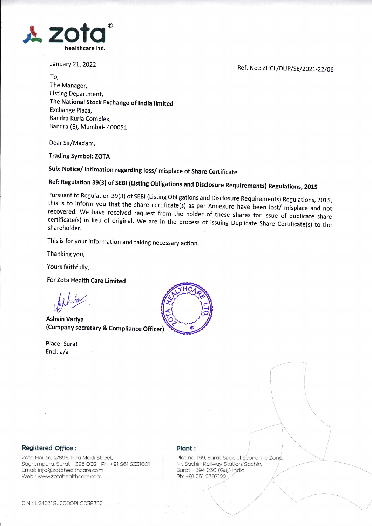

January 21, 2022

Ref. No.: ZHCL/DUP/SE/2021-22/06

To, The Manager, Listing Department, The National Stock Exchange of India limited Exchange Plaza, Bandra Kurla Complex, Bandra (E), Mumbai- 400051

Dear Sir/Madam,

**Trading Symbol: ZOTA** 

Sub: Notice/intimation regarding loss/misplace of Share Certificate

Ref: Regulation 39(3) of SEBI (Listing Obligations and Disclosure Requirements) Regulations, 2015

Pursuant to Regulation 39(3) of SEBI (Listing Obligations and Disclosure Requirements) Regulations, 2015, this is to inform you that the share certificate(s) as per Annexure have been lost/ misplace and not recovered. We have received request from the holder of these shares for issue of duplicate share certificate(s) in lieu of original. We are in the process of issuing Duplicate Share Certificate(s) to the shareholder.

This is for your information and taking necessary action.

Thanking you,

Yours faithfully,

For Zota Health Care Limited

**Ashvin Variva** (Company secretary & Compliance Officer)

**Place: Surat** Encl: a/a



## Registered Office :

Zota House, 2/896, Hira Modi Street, Sagrampura, Surat - 395 002 | Ph: +91 261 2331601 Email: info@zotahealthcare.com Web: www.zotahealthcare.com

## Plant:

Plot no. 169, Surat Special Economic Zone, Nr. Sachin Railway Station, Sachin, Surat - 394 230 (Guj.) India Ph: +91 261 2397122